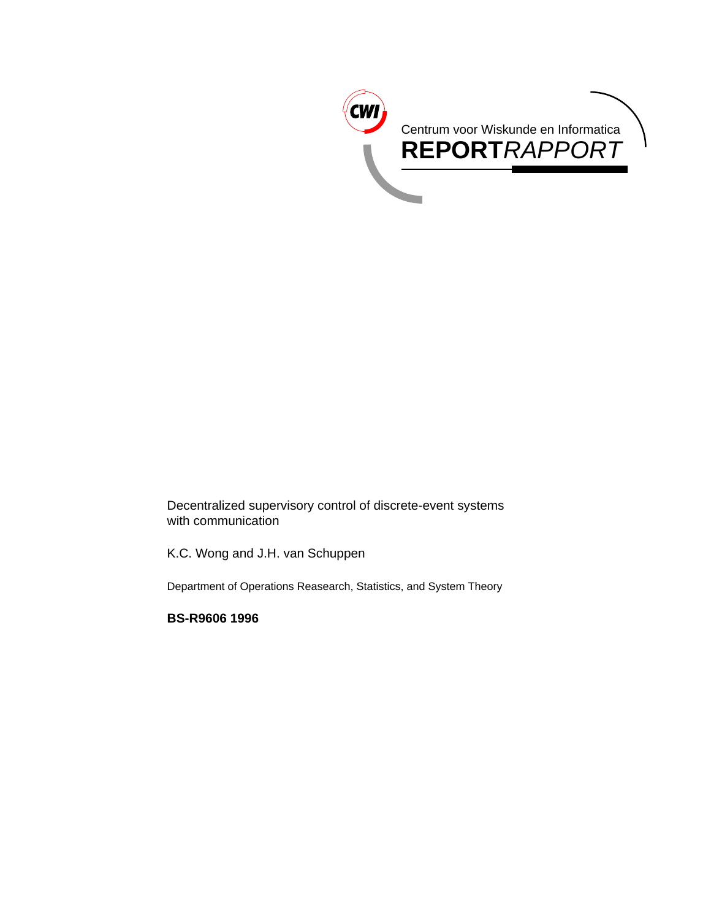

Decentralized supervisory control of discrete-event systems with communication

K.C. Wong and J.H. van Schuppen

Department of Operations Reasearch, Statistics, and System Theory

**BS-R9606 1996**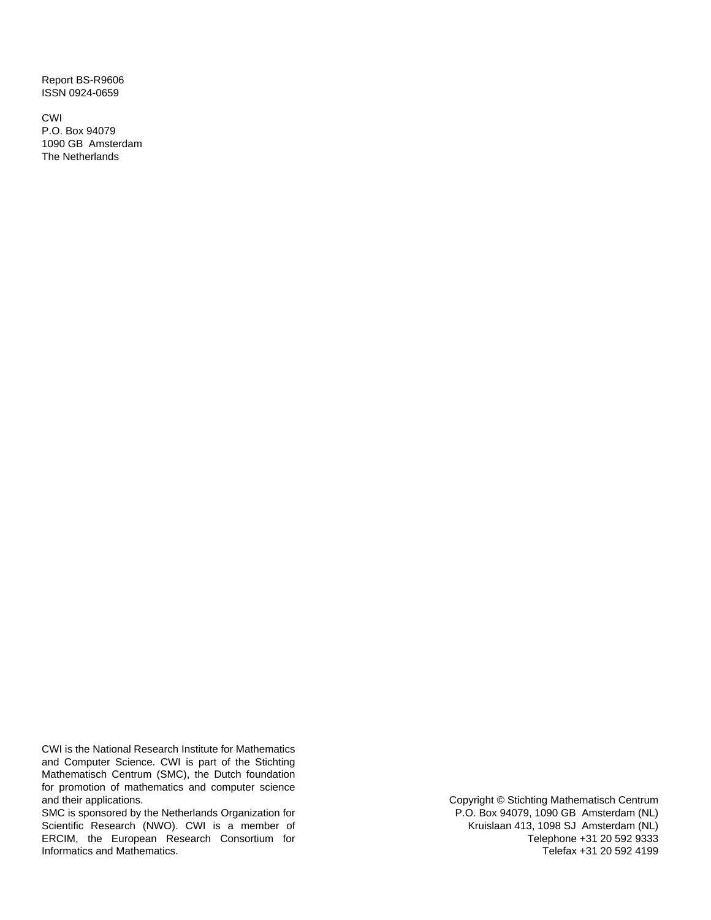Report BS-R9606 ISSN 0924-0659

CWI P.O. Box 94079 1090 GB Amsterdam The Netherlands

CWI is the National Research Institute for Mathematics and Computer Science. CWI is part of the Stichting Mathematisch Centrum (SMC), the Dutch foundation for promotion of mathematics and computer science and their applications.

SMC is sponsored by the Netherlands Organization for Scientific Research (NWO). CWI is a member of ERCIM, the European Research Consortium for Informatics and Mathematics.

Copyright © Stichting Mathematisch Centrum P.O. Box 94079, 1090 GB Amsterdam (NL) Kruislaan 413, 1098 SJ Amsterdam (NL) Telephone +31 20 592 9333 Telefax +31 20 592 4199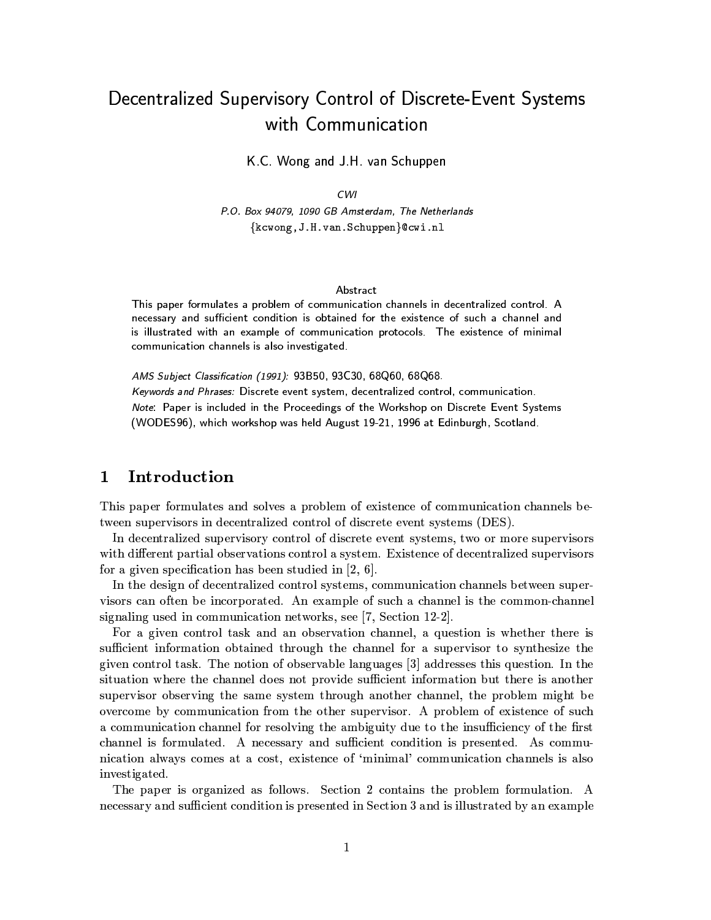# Decentralized Supervisory Control of Discrete-Event Systems with Communication

K.C. Wong and J.H. van Schuppen

## $CWI$

P.O. Box 94079, 1090 GB Amsterdam, The Netherlands {kcwong, J.H. van. Schuppen} @cwi.nl

### Abstract

This paper formulates a problem of communication channels in decentralized control. A necessary and sufficient condition is obtained for the existence of such a channel and is illustrated with an example of communication protocols. The existence of minimal communication channels is also investigated.

AMS Subject Classification (1991): 93B50, 93C30, 68Q60, 68Q68.

Keywords and Phrases: Discrete event system, decentralized control, communication. Note: Paper is included in the Proceedings of the Workshop on Discrete Event Systems (WODES96), which workshop was held August 19-21, 1996 at Edinburgh, Scotland.

#### Introduction  $\mathbf{1}$

This paper formulates and solves a problem of existence of communication channels between supervisors in decentralized control of discrete event systems (DES).

In decentralized supervisory control of discrete event systems, two or more supervisors with different partial observations control a system. Existence of decentralized supervisors for a given specification has been studied in  $[2, 6]$ .

In the design of decentralized control systems, communication channels between supervisors can often be incorporated. An example of such a channel is the common-channel signaling used in communication networks, see [7, Section 12-2].

For a given control task and an observation channel, a question is whether there is sufficient information obtained through the channel for a supervisor to synthesize the given control task. The notion of observable languages [3] addresses this question. In the situation where the channel does not provide sufficient information but there is another supervisor observing the same system through another channel, the problem might be overcome by communication from the other supervisor. A problem of existence of such a communication channel for resolving the ambiguity due to the insufficiency of the first channel is formulated. A necessary and sufficient condition is presented. As communication always comes at a cost, existence of 'minimal' communication channels is also investigated.

The paper is organized as follows. Section 2 contains the problem formulation. A necessary and sufficient condition is presented in Section 3 and is illustrated by an example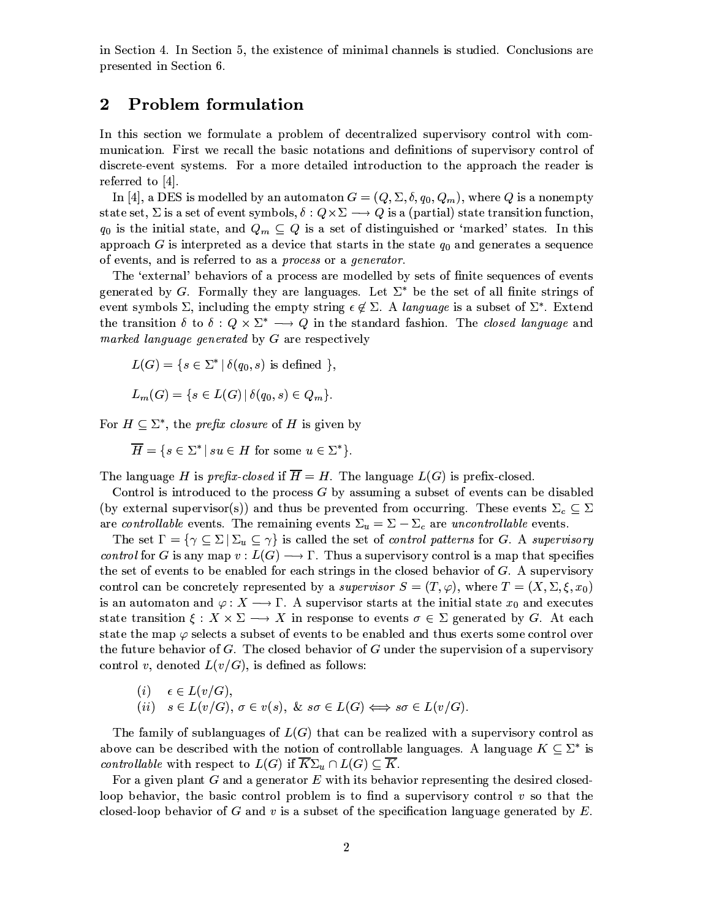in Section 4. In Section 5, the existence of minimal channels is studied. Conclusions are presented in Section 6.

#### $\boldsymbol{2}$ **Problem formulation**

In this section we formulate a problem of decentralized supervisory control with communication. First we recall the basic notations and definitions of supervisory control of discrete-event systems. For a more detailed introduction to the approach the reader is referred to  $[4]$ .

In [4], a DES is modelled by an automaton  $G = (Q, \Sigma, \delta, q_0, Q_m)$ , where Q is a nonempty state set,  $\Sigma$  is a set of event symbols,  $\delta: Q \times \Sigma \longrightarrow Q$  is a (partial) state transition function,  $q_0$  is the initial state, and  $Q_m \subseteq Q$  is a set of distinguished or 'marked' states. In this approach G is interpreted as a device that starts in the state  $q_0$  and generates a sequence of events, and is referred to as a process or a generator.

The 'external' behaviors of a process are modelled by sets of finite sequences of events generated by G. Formally they are languages. Let  $\Sigma^*$  be the set of all finite strings of event symbols  $\Sigma$ , including the empty string  $\epsilon \notin \Sigma$ . A language is a subset of  $\Sigma^*$ . Extend the transition  $\delta$  to  $\delta: Q \times \Sigma^* \longrightarrow Q$  in the standard fashion. The *closed language* and marked language generated by G are respectively

$$
L(G) = \{ s \in \Sigma^* \mid \delta(q_0, s) \text{ is defined } \},
$$

$$
L_m(G) = \{ s \in L(G) \, | \, \delta(q_0, s) \in Q_m \}.
$$

For  $H \subseteq \Sigma^*$ , the *prefix closure* of H is given by

 $\overline{H} = \{s \in \Sigma^* \mid su \in H \text{ for some } u \in \Sigma^*\}.$ 

The language H is prefix-closed if  $\overline{H} = H$ . The language  $L(G)$  is prefix-closed.

Control is introduced to the process G by assuming a subset of events can be disabled (by external supervisor(s)) and thus be prevented from occurring. These events  $\Sigma_c \subseteq \Sigma$ are controllable events. The remaining events  $\Sigma_u = \Sigma - \Sigma_c$  are uncontrollable events.

The set  $\Gamma = \{ \gamma \subseteq \Sigma \mid \Sigma_u \subseteq \gamma \}$  is called the set of *control patterns* for G. A *supervisory* control for G is any map  $v: L(G) \longrightarrow \Gamma$ . Thus a supervisory control is a map that specifies the set of events to be enabled for each strings in the closed behavior of  $G$ . A supervisory control can be concretely represented by a supervisor  $S = (T, \varphi)$ , where  $T = (X, \Sigma, \xi, x_0)$ is an automaton and  $\varphi: X \longrightarrow \Gamma$ . A supervisor starts at the initial state  $x_0$  and executes state transition  $\xi: X \times \Sigma \longrightarrow X$  in response to events  $\sigma \in \Sigma$  generated by G. At each state the map  $\varphi$  selects a subset of events to be enabled and thus exerts some control over the future behavior of G. The closed behavior of G under the supervision of a supervisory control v, denoted  $L(v/G)$ , is defined as follows:

(i) 
$$
\epsilon \in L(v/G)
$$
,  
(ii)  $s \in L(v/G)$ ,  $\sigma \in v(s)$ ,  $\&$   $s\sigma \in L(G) \Longleftrightarrow s\sigma \in L(v/G)$ .

The family of sublanguages of  $L(G)$  that can be realized with a supervisory control as above can be described with the notion of controllable languages. A language  $K \subseteq \Sigma^*$  is *controllable* with respect to  $L(G)$  if  $\overline{K}\Sigma_u \cap L(G) \subseteq \overline{K}$ .

For a given plant  $G$  and a generator  $E$  with its behavior representing the desired closedloop behavior, the basic control problem is to find a supervisory control  $v$  so that the closed-loop behavior of G and v is a subset of the specification language generated by  $E$ .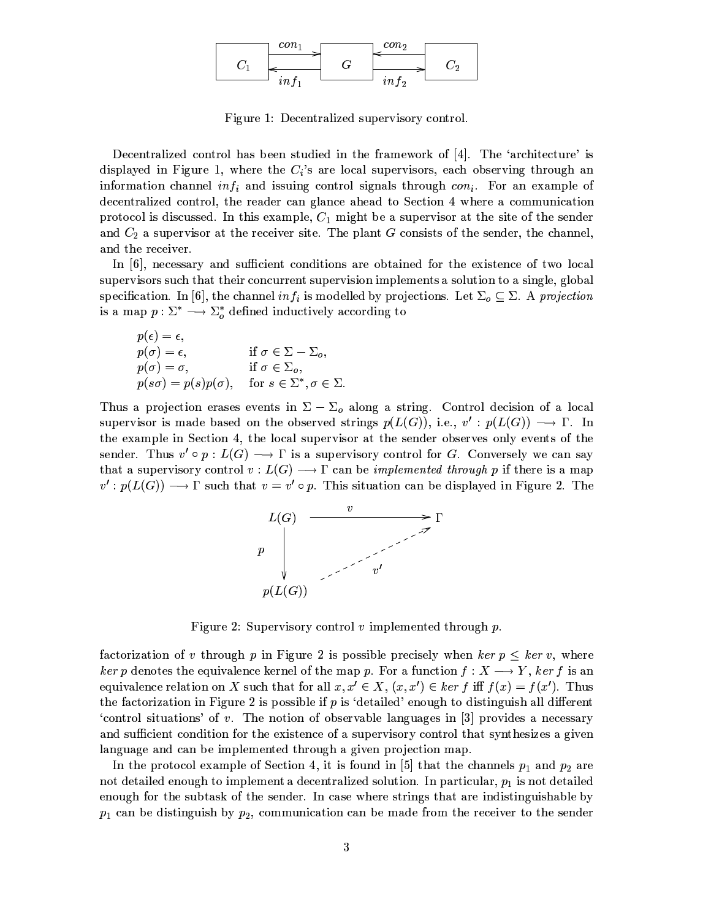

Figure 1: Decentralized supervisory control.

Decentralized control has been studied in the framework of [4]. The 'architecture' is displayed in Figure 1, where the  $C_i$ 's are local supervisors, each observing through an information channel in  $f_i$  and issuing control signals through  $con_i$ . For an example of decentralized control, the reader can glance ahead to Section 4 where a communication protocol is discussed. In this example,  $C_1$  might be a supervisor at the site of the sender and  $C_2$  a supervisor at the receiver site. The plant G consists of the sender, the channel, and the receiver.

In  $[6]$ , necessary and sufficient conditions are obtained for the existence of two local supervisors such that their concurrent supervision implements a solution to a single, global specification. In [6], the channel  $inf_i$  is modelled by projections. Let  $\Sigma_o \subseteq \Sigma$ . A projection is a map  $p : \Sigma^* \longrightarrow \Sigma_o^*$  defined inductively according to

$$
p(\epsilon) = \epsilon,
$$
  
\n
$$
p(\sigma) = \epsilon,
$$
  
\n
$$
p(\sigma) = \sigma,
$$
  
\n
$$
p(s\sigma) = p(s)p(\sigma), \quad \text{for } s \in \Sigma^*, \sigma \in \Sigma.
$$

Thus a projection erases events in  $\Sigma - \Sigma_o$  along a string. Control decision of a local supervisor is made based on the observed strings  $p(L(G))$ , i.e.,  $v': p(L(G)) \longrightarrow \Gamma$ . In the example in Section 4, the local supervisor at the sender observes only events of the sender. Thus  $v' \circ p : L(G) \longrightarrow \Gamma$  is a supervisory control for G. Conversely we can say that a supervisory control  $v: L(G) \longrightarrow \Gamma$  can be *implemented through* p if there is a map  $v': p(L(G)) \longrightarrow \Gamma$  such that  $v = v' \circ p$ . This situation can be displayed in Figure 2. The



Figure 2: Supervisory control  $v$  implemented through  $p$ .

factorization of v through p in Figure 2 is possible precisely when ker  $p \leq \text{ker } v$ , where ker p denotes the equivalence kernel of the map p. For a function  $f: X \longrightarrow Y$ , ker f is an equivalence relation on X such that for all  $x, x' \in X$ ,  $(x, x') \in \ker f$  iff  $f(x) = f(x')$ . Thus the factorization in Figure 2 is possible if  $p$  is 'detailed' enough to distinguish all different 'control situations' of v. The notion of observable languages in  $[3]$  provides a necessary and sufficient condition for the existence of a supervisory control that synthesizes a given language and can be implemented through a given projection map.

In the protocol example of Section 4, it is found in [5] that the channels  $p_1$  and  $p_2$  are not detailed enough to implement a decentralized solution. In particular,  $p_1$  is not detailed enough for the subtask of the sender. In case where strings that are indistinguishable by  $p_1$  can be distinguish by  $p_2$ , communication can be made from the receiver to the sender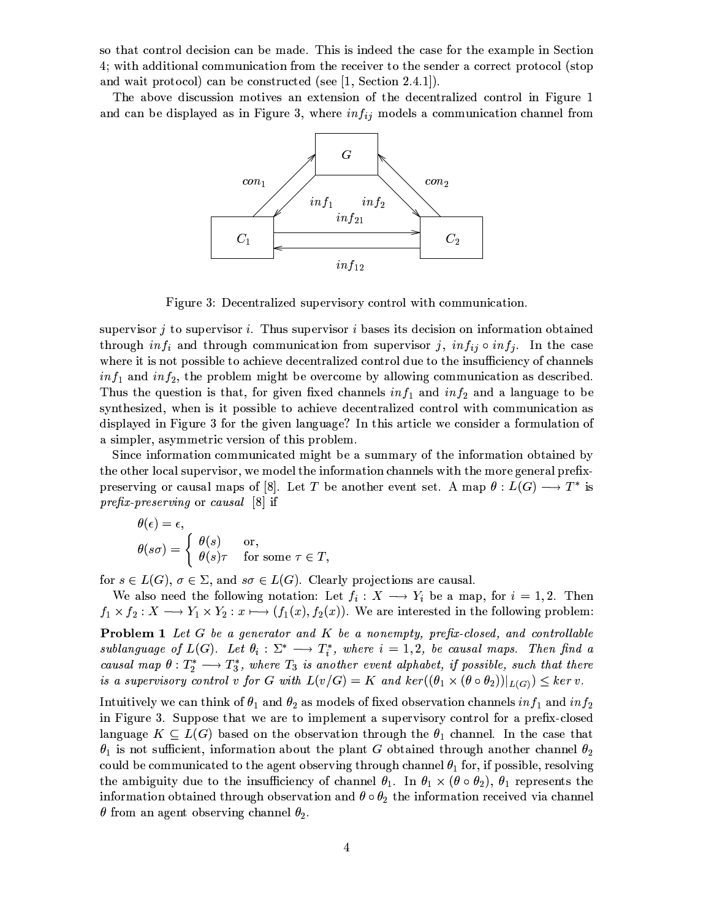so that control decision can be made. This is indeed the case for the example in Section 4; with additional communication from the receiver to the sender a correct protocol (stop and wait protocol) can be constructed (see  $[1, Section 2.4.1]$ ).

The above discussion motives an extension of the decentralized control in Figure 1 and can be displayed as in Figure 3, where  $inf_{ij}$  models a communication channel from



Figure 3: Decentralized supervisory control with communication.

supervisor  $j$  to supervisor  $i$ . Thus supervisor  $i$  bases its decision on information obtained through  $inf_i$  and through communication from supervisor j,  $inf_{ij} \circ inf_j$ . In the case where it is not possible to achieve decentralized control due to the insufficiency of channels  $inf_1$  and  $inf_2$ , the problem might be overcome by allowing communication as described. Thus the question is that, for given fixed channels  $inf_1$  and  $inf_2$  and a language to be synthesized, when is it possible to achieve decentralized control with communication as displayed in Figure 3 for the given language? In this article we consider a formulation of a simpler, asymmetric version of this problem.

Since information communicated might be a summary of the information obtained by the other local supervisor, we model the information channels with the more general prefixpreserving or causal maps of [8]. Let T be another event set. A map  $\theta: L(G) \longrightarrow T^*$  is prefix-preserving or causal  $[8]$  if

$$
\theta(\epsilon) = \epsilon,
$$
  
\n
$$
\theta(s\sigma) = \begin{cases} \theta(s) & \text{or,} \\ \theta(s)\tau & \text{for some } \tau \in T, \end{cases}
$$

for  $s \in L(G)$ ,  $\sigma \in \Sigma$ , and  $s\sigma \in L(G)$ . Clearly projections are causal.

We also need the following notation: Let  $f_i: X \longrightarrow Y_i$  be a map, for  $i = 1, 2$ . Then  $f_1 \times f_2 : X \longrightarrow Y_1 \times Y_2 : x \longmapsto (f_1(x), f_2(x))$ . We are interested in the following problem:

**Problem 1** Let  $G$  be a generator and  $K$  be a nonempty, prefix-closed, and controllable sublanguage of  $L(G)$ . Let  $\theta_i : \Sigma^* \longrightarrow T_i^*$ , where  $i = 1, 2$ , be causal maps. Then find a causal map  $\theta: T_2^* \longrightarrow T_3^*$ , where  $T_3$  is another event alphabet, if possible, such that there is a supervisory control v for G with  $L(v/G) = K$  and  $ker((\theta_1 \times (\theta \circ \theta_2))|_{L(G)}) \leq ker v$ .

Intuitively we can think of  $\theta_1$  and  $\theta_2$  as models of fixed observation channels in  $f_1$  and in  $f_2$ in Figure 3. Suppose that we are to implement a supervisory control for a prefix-closed language  $K \subseteq L(G)$  based on the observation through the  $\theta_1$  channel. In the case that  $\theta_1$  is not sufficient, information about the plant G obtained through another channel  $\theta_2$ could be communicated to the agent observing through channel  $\theta_1$  for, if possible, resolving the ambiguity due to the insufficiency of channel  $\theta_1$ . In  $\theta_1 \times (\theta \circ \theta_2)$ ,  $\theta_1$  represents the information obtained through observation and  $\theta \circ \theta_2$  the information received via channel  $\theta$  from an agent observing channel  $\theta_2$ .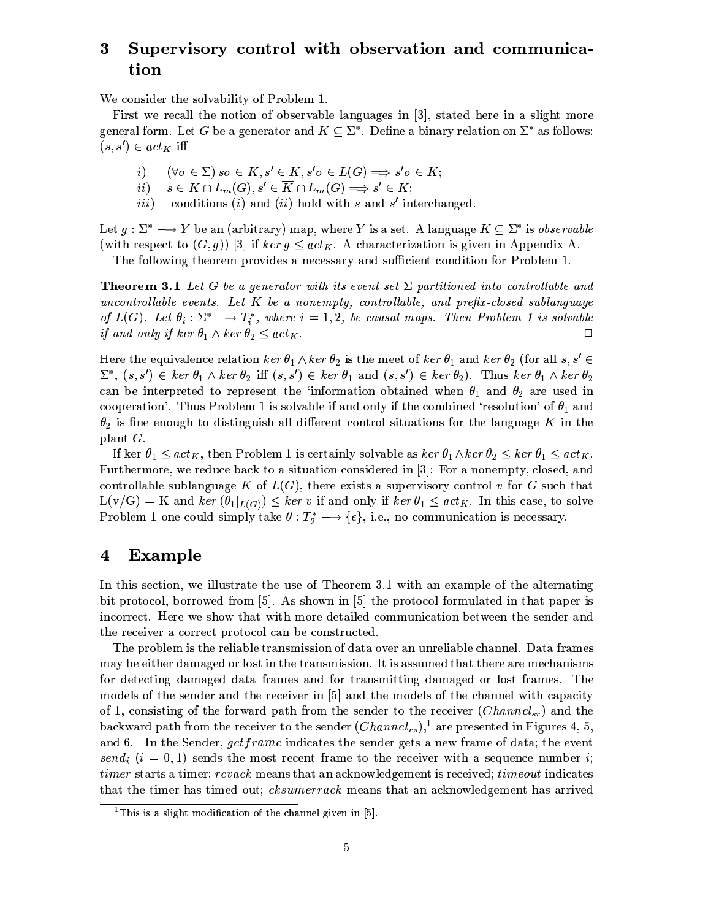## Supervisory control with observation and communica- $\bf{3}$ tion

We consider the solvability of Problem 1.

First we recall the notion of observable languages in [3], stated here in a slight more general form. Let G be a generator and  $K \subseteq \Sigma^*$ . Define a binary relation on  $\Sigma^*$  as follows:  $(s, s') \in act_K$  iff

- $(\forall \sigma \in \Sigma) s\sigma \in \overline{K}, s' \in \overline{K}, s'\sigma \in L(G) \Longrightarrow s'\sigma \in \overline{K};$  $i)$
- $s \in K \cap L_m(G), s' \in \overline{K} \cap L_m(G) \Longrightarrow s' \in K;$  $ii)$
- conditions  $(i)$  and  $(ii)$  hold with s and s' interchanged.  $iii)$

Let  $g: \Sigma^* \longrightarrow Y$  be an (arbitrary) map, where Y is a set. A language  $K \subseteq \Sigma^*$  is *observable* (with respect to  $(G, g)$ ) [3] if  $\ker g \leq \operatorname{act}_{K}$ . A characterization is given in Appendix A.

The following theorem provides a necessary and sufficient condition for Problem 1.

**Theorem 3.1** Let G be a generator with its event set  $\Sigma$  partitioned into controllable and uncontrollable events. Let  $K$  be a nonempty, controllable, and prefix-closed sublanguage of  $L(G)$ . Let  $\theta_i : \Sigma^* \longrightarrow T_i^*$ , where  $i = 1, 2$ , be causal maps. Then Problem 1 is solvable *if and only if ker*  $\theta_1 \wedge \ker \theta_2 \leq act_K$ .  $\Box$ 

Here the equivalence relation  $\ker \theta_1 \wedge \ker \theta_2$  is the meet of  $\ker \theta_1$  and  $\ker \theta_2$  (for all s, s'  $\in$  $\Sigma^*$ ,  $(s, s') \in \ker \theta_1 \wedge \ker \theta_2$  iff  $(s, s') \in \ker \theta_1$  and  $(s, s') \in \ker \theta_2$ ). Thus  $\ker \theta_1 \wedge \ker \theta_2$ can be interpreted to represent the 'information obtained when  $\theta_1$  and  $\theta_2$  are used in cooperation'. Thus Problem 1 is solvable if and only if the combined 'resolution' of  $\theta_1$  and  $\theta_2$  is fine enough to distinguish all different control situations for the language K in the plant  $G$ .

If ker  $\theta_1 \leq act_K$ , then Problem 1 is certainly solvable as  $\ker \theta_1 \wedge \ker \theta_2 \leq \ker \theta_1 \leq act_K$ . Furthermore, we reduce back to a situation considered in [3]: For a nonempty, closed, and controllable sublanguage K of  $L(G)$ , there exists a supervisory control v for G such that  $L(v/G) = K$  and  $ker (\theta_1|_{L(G)}) \leq ker v$  if and only if  $ker \theta_1 \leq act_K$ . In this case, to solve Problem 1 one could simply take  $\theta: T_2^* \longrightarrow {\epsilon},$  i.e., no communication is necessary.

#### $\overline{\mathbf{4}}$ **Example**

In this section, we illustrate the use of Theorem 3.1 with an example of the alternating bit protocol, borrowed from [5]. As shown in [5] the protocol formulated in that paper is incorrect. Here we show that with more detailed communication between the sender and the receiver a correct protocol can be constructed.

The problem is the reliable transmission of data over an unreliable channel. Data frames may be either damaged or lost in the transmission. It is assumed that there are mechanisms for detecting damaged data frames and for transmitting damaged or lost frames. The models of the sender and the receiver in [5] and the models of the channel with capacity of 1, consisting of the forward path from the sender to the receiver  $(Channel_{sr})$  and the backward path from the receiver to the sender  $(Channel_{rs})$ ,<sup>1</sup> are presented in Figures 4, 5, and 6. In the Sender, *getframe* indicates the sender gets a new frame of data; the event send<sub>i</sub>  $(i = 0, 1)$  sends the most recent frame to the receiver with a sequence number i; *timer* starts a timer; *rcvack* means that an acknowledgement is received; *timeout* indicates that the timer has timed out; *cksumerrack* means that an acknowledgement has arrived

<sup>&</sup>lt;sup>1</sup>This is a slight modification of the channel given in [5].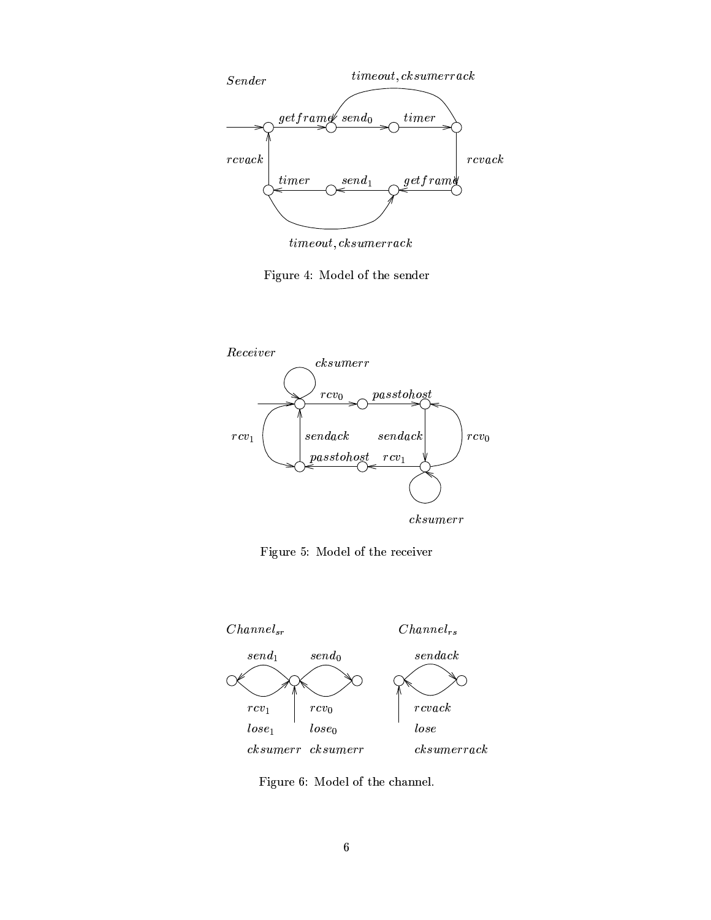

 $\label{eq:timeout} time out, cksumerrack$ 

Figure 4: Model of the sender



Figure 5: Model of the receiver



Figure 6: Model of the channel.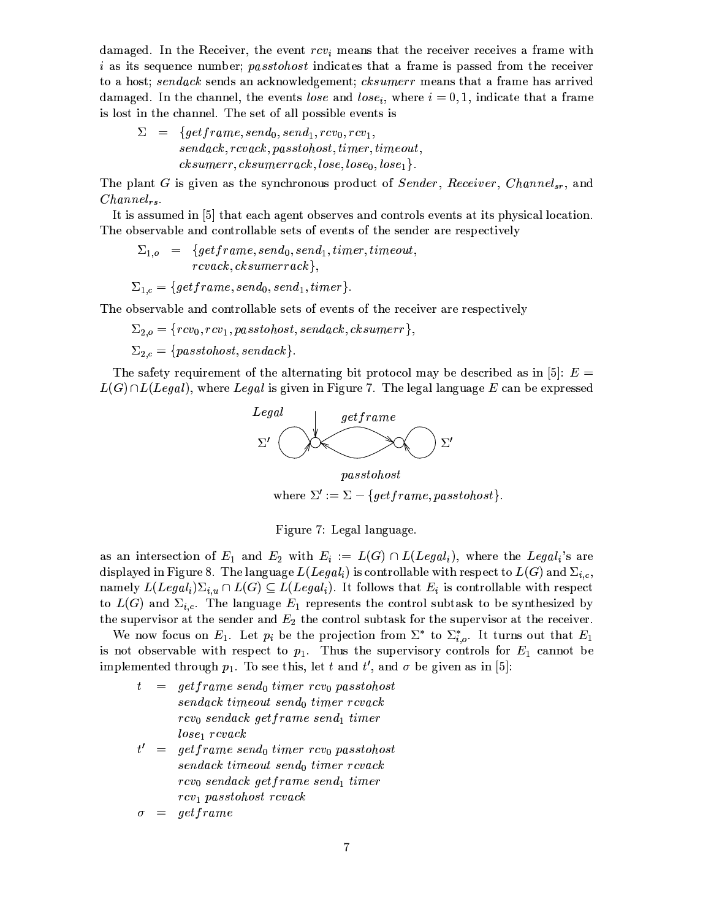damaged. In the Receiver, the event  $rcv_i$  means that the receiver receives a frame with *i* as its sequence number; *passtohost* indicates that a frame is passed from the receiver to a host; sendack sends an acknowledgement; cksumerr means that a frame has arrived damaged. In the channel, the events lose and lose, where  $i = 0, 1$ , indicate that a frame is lost in the channel. The set of all possible events is

 $\Sigma = \{ getframe, send_0, send_1, rev_0, rev_1,$  $sendack, rcvack, pass to host, timer, timeout,$  $\emph{cksumer}, \emph{cksumerack}, \emph{lose}, \emph{lose}_1\}.$ 

The plant G is given as the synchronous product of Sender, Receiver, Channels, and  $Channel_{rs}.$ 

It is assumed in [5] that each agent observes and controls events at its physical location. The observable and controllable sets of events of the sender are respectively

 $\Sigma_{1,o}$  = {getframe, send<sub>0</sub>, send<sub>1</sub>, timer, timeout,  $rcvack,$   $cksumerack\},$ 

 $\Sigma_{1,c} = \{ getframe, send_0, send_1, timer\}.$ 

The observable and controllable sets of events of the receiver are respectively

 $\Sigma_{2,o} = \{rcv_0, rcv_1, pass to host, sendack, cksumer\},\$ 

 $\Sigma_{2,c} = \{passtohost, sendack\}.$ 

The safety requirement of the alternating bit protocol may be described as in [5]:  $E =$  $L(G) \cap L(Legal)$ , where Legal is given in Figure 7. The legal language E can be expressed



 $pass to host$ where  $\Sigma' := \Sigma - \{getframe, pass to host\}.$ 

Figure 7: Legal language.

as an intersection of  $E_1$  and  $E_2$  with  $E_i := L(G) \cap L(Legal_i)$ , where the Legal<sub>i</sub>'s are displayed in Figure 8. The language  $L(Legal_i)$  is controllable with respect to  $L(G)$  and  $\Sigma_{i,c}$ , namely  $L(Legal_i)\Sigma_{i,u}\cap L(G)\subseteq L(Legal_i)$ . It follows that  $E_i$  is controllable with respect to  $L(G)$  and  $\Sigma_{i,c}$ . The language  $E_1$  represents the control subtask to be synthesized by the supervisor at the sender and  $E_2$  the control subtask for the supervisor at the receiver.

We now focus on  $E_1$ . Let  $p_i$  be the projection from  $\Sigma^*$  to  $\Sigma^*_{i,o}$ . It turns out that  $E_1$ is not observable with respect to  $p_1$ . Thus the supervisory controls for  $E_1$  cannot be implemented through  $p_1$ . To see this, let t and t', and  $\sigma$  be given as in [5]:

- $= getframe\ send_0\ timer\ rcv_0\ pass to host$  $t$  $\emph{sendack timeout send}_0$  timer rcvack  $rcv_0$  sendack getframe send<sub>1</sub> timer  $lose_1$  rcvack  $t' = getframe\ send_0\ timer\ rcv_0\ pass to host$
- $\emph{sendack timeout send}_0 \emph{timer rcvack}$  $rcv_0$  sendack getframe send<sub>1</sub> timer  $rcv_1$  passtohost revack

 $=$  get frame  $\sigma$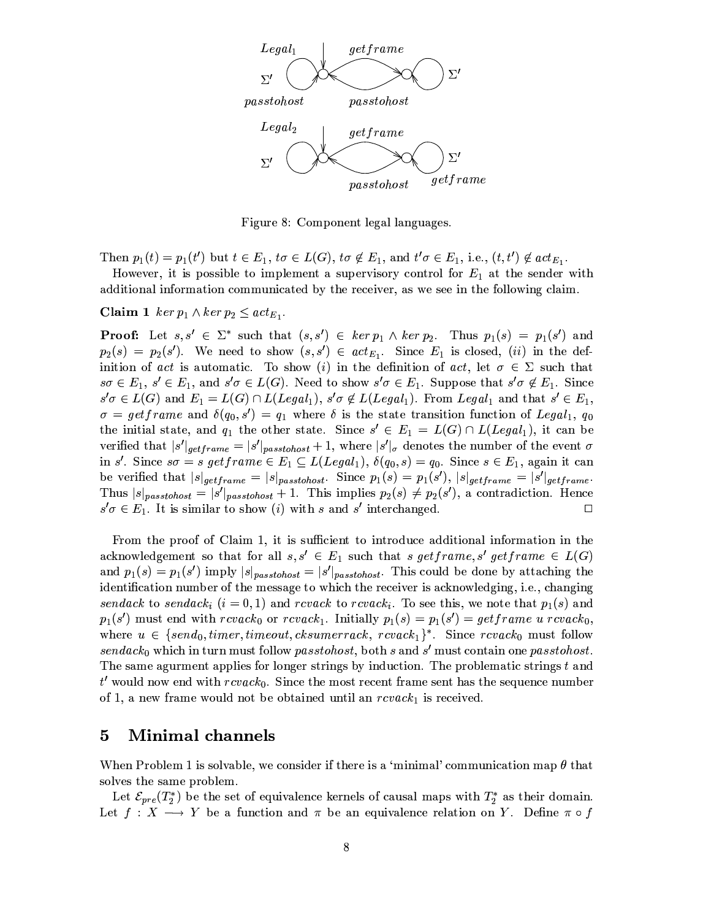

Figure 8: Component legal languages.

Then  $p_1(t) = p_1(t')$  but  $t \in E_1$ ,  $t\sigma \in L(G)$ ,  $t\sigma \notin E_1$ , and  $t'\sigma \in E_1$ , i.e.,  $(t, t') \notin act_{E_1}$ .

However, it is possible to implement a supervisory control for  $E_1$  at the sender with additional information communicated by the receiver, as we see in the following claim.

**Claim 1** ker  $p_1 \wedge \ker p_2 \leq act_{E_1}$ .

**Proof:** Let  $s, s' \in \Sigma^*$  such that  $(s, s') \in \ker p_1 \wedge \ker p_2$ . Thus  $p_1(s) = p_1(s')$  and  $p_2(s) = p_2(s')$ . We need to show  $(s, s') \in act_{E_1}$ . Since  $E_1$  is closed, (ii) in the definition of act is automatic. To show (i) in the definition of act, let  $\sigma \in \Sigma$  such that  $s\sigma \in E_1$ ,  $s' \in E_1$ , and  $s'\sigma \in L(G)$ . Need to show  $s'\sigma \in E_1$ . Suppose that  $s'\sigma \notin E_1$ . Since  $s'\sigma \in L(G)$  and  $E_1 = L(G) \cap L(Legal_1)$ ,  $s'\sigma \notin L(Legal_1)$ . From Legal<sub>1</sub> and that  $s' \in E_1$ ,  $\sigma = getframe$  and  $\delta(q_0, s') = q_1$  where  $\delta$  is the state transition function of Legal<sub>1</sub>,  $q_0$ the initial state, and  $q_1$  the other state. Since  $s' \in E_1 = L(G) \cap L(Legal_1)$ , it can be verified that  $|s'|_{getframe} = |s'|_{passobost} + 1$ , where  $|s'|_{\sigma}$  denotes the number of the event  $\sigma$ in s'. Since  $s\sigma = s$  get frame  $\in E_1 \subseteq L(Legal_1), \delta(q_0, s) = q_0$ . Since  $s \in E_1$ , again it can be verified that  $|s|_{\text{getframe}} = |s|_{\text{pass to host}}$ . Since  $p_1(s) = p_1(s')$ ,  $|s|_{\text{getframe}} = |s'|_{\text{getframe}}$ . Thus  $|s|_{passtohost} = |s'|_{passtohost} + 1$ . This implies  $p_2(s) \neq p_2(s')$ , a contradiction. Hence  $s'\sigma \in E_1$ . It is similar to show (i) with s and s' interchanged.  $\Box$ 

From the proof of Claim 1, it is sufficient to introduce additional information in the acknowledgement so that for all  $s, s' \in E_1$  such that s get frame, s' get frame  $\in L(G)$ and  $p_1(s) = p_1(s')$  imply  $|s|_{passtohost} = |s'|_{passtohost}$ . This could be done by attaching the identification number of the message to which the receiver is acknowledging, i.e., changing sendack to sendack;  $(i = 0, 1)$  and revack to revack; To see this, we note that  $p_1(s)$  and  $p_1(s')$  must end with  $rcvack_0$  or  $rcvack_1$ . Initially  $p_1(s) = p_1(s') = getframe \ u \ rcvack_0$ , where  $u \in \{send_0, timer, timeout, cksumerack, rcvack_1\}^*$ . Since  $rcvack_0$  must follow  $sendack_0$  which in turn must follow passtohost, both s and s' must contain one passtohost. The same agurment applies for longer strings by induction. The problematic strings t and  $t'$  would now end with  $rcvack_0$ . Since the most recent frame sent has the sequence number of 1, a new frame would not be obtained until an  $rcvack<sub>1</sub>$  is received.

#### $\overline{5}$ Minimal channels

When Problem 1 is solvable, we consider if there is a 'minimal' communication map  $\theta$  that solves the same problem.

Let  $\mathcal{E}_{pre}(T_2^*)$  be the set of equivalence kernels of causal maps with  $T_2^*$  as their domain. Let  $f: X \longrightarrow Y$  be a function and  $\pi$  be an equivalence relation on Y. Define  $\pi \circ f$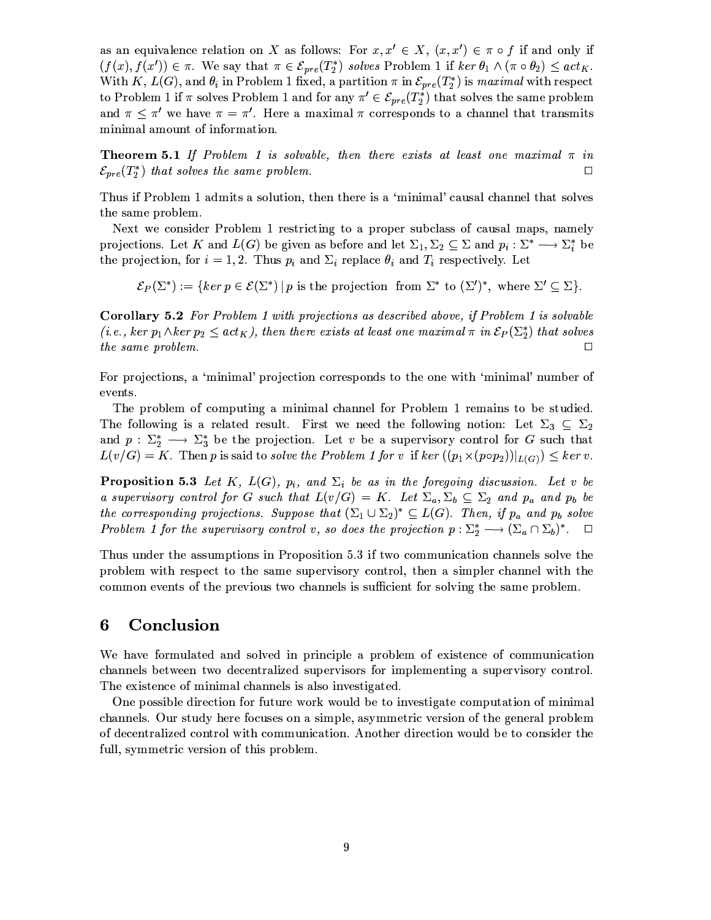as an equivalence relation on X as follows: For  $x, x' \in X$ ,  $(x, x') \in \pi \circ f$  if and only if  $(f(x), f(x')) \in \pi$ . We say that  $\pi \in \mathcal{E}_{pre}(T_2^*)$  solves Problem 1 if  $\ker \theta_1 \wedge (\pi \circ \theta_2) \leq act_K$ . With K,  $L(G)$ , and  $\theta_i$  in Problem 1 fixed, a partition  $\pi$  in  $\mathcal{E}_{pre}(T_2^*)$  is maximal with respect to Problem 1 if  $\pi$  solves Problem 1 and for any  $\pi' \in \mathcal{E}_{pre}(T_2^*)$  that solves the same problem and  $\pi \leq \pi'$  we have  $\pi = \pi'$ . Here a maximal  $\pi$  corresponds to a channel that transmits minimal amount of information.

**Theorem 5.1** If Problem 1 is solvable, then there exists at least one maximal  $\pi$  in  $\mathcal{E}_{pre}(T_2^*)$  that solves the same problem.  $\Box$ 

Thus if Problem 1 admits a solution, then there is a 'minimal' causal channel that solves the same problem.

Next we consider Problem 1 restricting to a proper subclass of causal maps, namely projections. Let K and  $L(G)$  be given as before and let  $\Sigma_1, \Sigma_2 \subseteq \Sigma$  and  $p_i : \Sigma^* \longrightarrow \Sigma_i^*$  be the projection, for  $i = 1, 2$ . Thus  $p_i$  and  $\Sigma_i$  replace  $\theta_i$  and  $T_i$  respectively. Let

 $\mathcal{E}_P(\Sigma^*) := \{ \ker p \in \mathcal{E}(\Sigma^*) \mid p \text{ is the projection from } \Sigma^* \text{ to } (\Sigma')^*, \text{ where } \Sigma' \subseteq \Sigma \}.$ 

**Corollary 5.2** For Problem 1 with projections as described above, if Problem 1 is solvable (*i.e.*, ker  $p_1 \wedge$ ker  $p_2 \leq act_K$ ), then there exists at least one maximal  $\pi$  in  $\mathcal{E}_P(\Sigma_2^*)$  that solves the same problem.  $\Box$ 

For projections, a 'minimal' projection corresponds to the one with 'minimal' number of events.

The problem of computing a minimal channel for Problem 1 remains to be studied. The following is a related result. First we need the following notion: Let  $\Sigma_3 \subseteq \Sigma_2$ and  $p: \Sigma_2^* \longrightarrow \Sigma_3^*$  be the projection. Let v be a supervisory control for G such that  $L(v/G) = K$ . Then p is said to solve the Problem 1 for v if ker  $((p_1 \times (p \circ p_2))|_{L(G)}) \leq ker v$ .

**Proposition 5.3** Let K,  $L(G)$ ,  $p_i$ , and  $\Sigma_i$  be as in the foregoing discussion. Let v be a supervisory control for G such that  $L(v/G) = K$ . Let  $\Sigma_a, \Sigma_b \subseteq \Sigma_2$  and  $p_a$  and  $p_b$  be the corresponding projections. Suppose that  $(\Sigma_1 \cup \Sigma_2)^* \subseteq L(G)$ . Then, if  $p_a$  and  $p_b$  solve Problem 1 for the supervisory control v, so does the projection  $p : \Sigma_2^* \longrightarrow (\Sigma_a \cap \Sigma_b)^*$ .  $\Box$ 

Thus under the assumptions in Proposition 5.3 if two communication channels solve the problem with respect to the same supervisory control, then a simpler channel with the common events of the previous two channels is sufficient for solving the same problem.

#### Conclusion 6

We have formulated and solved in principle a problem of existence of communication channels between two decentralized supervisors for implementing a supervisory control. The existence of minimal channels is also investigated.

One possible direction for future work would be to investigate computation of minimal channels. Our study here focuses on a simple, asymmetric version of the general problem of decentralized control with communication. Another direction would be to consider the full, symmetric version of this problem.